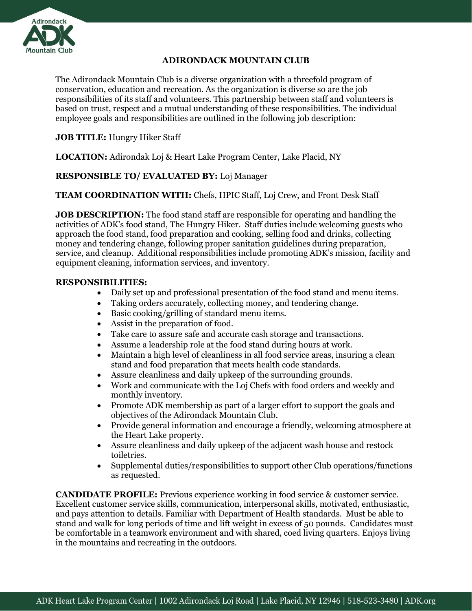

#### **ADIRONDACK MOUNTAIN CLUB**

The Adirondack Mountain Club is a diverse organization with a threefold program of conservation, education and recreation. As the organization is diverse so are the job responsibilities of its staff and volunteers. This partnership between staff and volunteers is based on trust, respect and a mutual understanding of these responsibilities. The individual employee goals and responsibilities are outlined in the following job description:

## **JOB TITLE:** Hungry Hiker Staff

**LOCATION:** Adirondak Loj & Heart Lake Program Center, Lake Placid, NY

## **RESPONSIBLE TO/ EVALUATED BY:** Loj Manager

**TEAM COORDINATION WITH:** Chefs, HPIC Staff, Loj Crew, and Front Desk Staff

**JOB DESCRIPTION:** The food stand staff are responsible for operating and handling the activities of ADK's food stand, The Hungry Hiker. Staff duties include welcoming guests who approach the food stand, food preparation and cooking, selling food and drinks, collecting money and tendering change, following proper sanitation guidelines during preparation, service, and cleanup. Additional responsibilities include promoting ADK's mission, facility and equipment cleaning, information services, and inventory.

#### **RESPONSIBILITIES:**

- Daily set up and professional presentation of the food stand and menu items.
- Taking orders accurately, collecting money, and tendering change.
- Basic cooking/grilling of standard menu items.
- Assist in the preparation of food.
- Take care to assure safe and accurate cash storage and transactions.
- Assume a leadership role at the food stand during hours at work.
- Maintain a high level of cleanliness in all food service areas, insuring a clean stand and food preparation that meets health code standards.
- Assure cleanliness and daily upkeep of the surrounding grounds.
- Work and communicate with the Loj Chefs with food orders and weekly and monthly inventory.
- Promote ADK membership as part of a larger effort to support the goals and objectives of the Adirondack Mountain Club.
- Provide general information and encourage a friendly, welcoming atmosphere at the Heart Lake property.
- Assure cleanliness and daily upkeep of the adjacent wash house and restock toiletries.
- Supplemental duties/responsibilities to support other Club operations/functions as requested.

**CANDIDATE PROFILE:** Previous experience working in food service & customer service. Excellent customer service skills, communication, interpersonal skills, motivated, enthusiastic, and pays attention to details. Familiar with Department of Health standards. Must be able to stand and walk for long periods of time and lift weight in excess of 50 pounds. Candidates must be comfortable in a teamwork environment and with shared, coed living quarters. Enjoys living in the mountains and recreating in the outdoors.